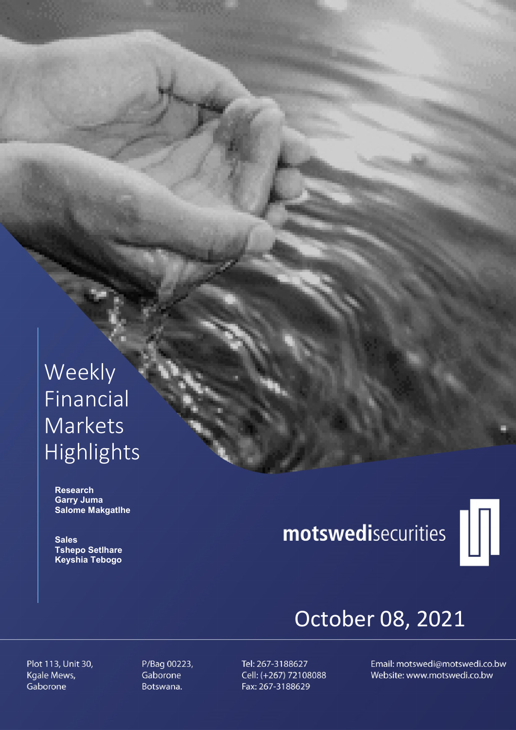# Weekly Financial Markets Highlights

 Research Garry Juma Salome Makgatlhe

 Sales Tshepo Setlhare Keyshia Tebogo

# motswedisecurities



# October 08, 2021

Plot 113, Unit 30, Kgale Mews, Gaborone

P/Bag 00223, Gaborone Botswana.

Tel: 267-3188627 Cell: (+267) 72108088 Fax: 267-3188629

Email: motswedi@motswedi.co.bw Website: www.motswedi.co.bw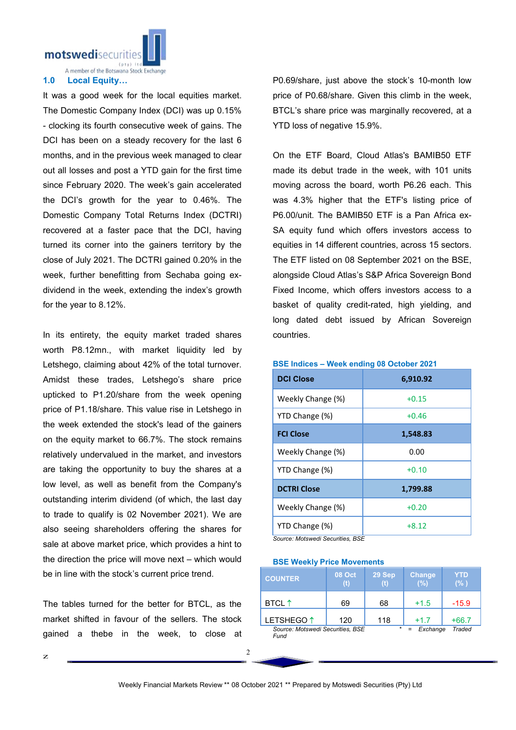motswedisecuritie

A member of the Botswana Stock Exchange

## 1.0 Local Equity…

It was a good week for the local equities market. The Domestic Company Index (DCI) was up 0.15% - clocking its fourth consecutive week of gains. The DCI has been on a steady recovery for the last 6 months, and in the previous week managed to clear out all losses and post a YTD gain for the first time since February 2020. The week's gain accelerated the DCI's growth for the year to 0.46%. The Domestic Company Total Returns Index (DCTRI) recovered at a faster pace that the DCI, having turned its corner into the gainers territory by the close of July 2021. The DCTRI gained 0.20% in the week, further benefitting from Sechaba going exdividend in the week, extending the index's growth for the year to 8.12%.

In its entirety, the equity market traded shares worth P8.12mn., with market liquidity led by Letshego, claiming about 42% of the total turnover. Amidst these trades, Letshego's share price upticked to P1.20/share from the week opening price of P1.18/share. This value rise in Letshego in the week extended the stock's lead of the gainers on the equity market to 66.7%. The stock remains relatively undervalued in the market, and investors are taking the opportunity to buy the shares at a low level, as well as benefit from the Company's outstanding interim dividend (of which, the last day to trade to qualify is 02 November 2021). We are also seeing shareholders offering the shares for sale at above market price, which provides a hint to the direction the price will move next – which would be in line with the stock's current price trend.

The tables turned for the better for BTCL, as the market shifted in favour of the sellers. The stock gained a thebe in the week, to close at

P0.69/share, just above the stock's 10-month low price of P0.68/share. Given this climb in the week, BTCL's share price was marginally recovered, at a YTD loss of negative 15.9%.

On the ETF Board, Cloud Atlas's BAMIB50 ETF made its debut trade in the week, with 101 units moving across the board, worth P6.26 each. This was 4.3% higher that the ETF's listing price of P6.00/unit. The BAMIB50 ETF is a Pan Africa ex-SA equity fund which offers investors access to equities in 14 different countries, across 15 sectors. The ETF listed on 08 September 2021 on the BSE, alongside Cloud Atlas's S&P Africa Sovereign Bond Fixed Income, which offers investors access to a basket of quality credit-rated, high yielding, and long dated debt issued by African Sovereign countries.

| <b>DCI Close</b>   | 6,910.92 |
|--------------------|----------|
| Weekly Change (%)  | $+0.15$  |
| YTD Change (%)     | $+0.46$  |
| <b>FCI Close</b>   | 1,548.83 |
| Weekly Change (%)  | 0.00     |
| YTD Change (%)     | $+0.10$  |
| <b>DCTRI Close</b> | 1,799.88 |
| Weekly Change (%)  | $+0.20$  |
| YTD Change (%)     | $+8.12$  |

BSE Indices – Week ending 08 October 2021

*Source: Motswedi Securities, BSE*

BSE Weekly Price Movements

| <b>COUNTER</b>                                                  | <b>08 Oct</b> | 29 Sep | <b>Change</b><br>(%) | YTD<br>(% ) |
|-----------------------------------------------------------------|---------------|--------|----------------------|-------------|
| BTCL $\uparrow$                                                 | 69            | 68     | $+1.5$               | $-15.9$     |
| LETSHEGO <sup>1</sup>                                           | 120           | 118    | $+1.7$               | $+66.7$     |
| $\star$<br>Source: Motswedi Securities, BSE<br>Exchange<br>Fund |               |        |                      | Traded      |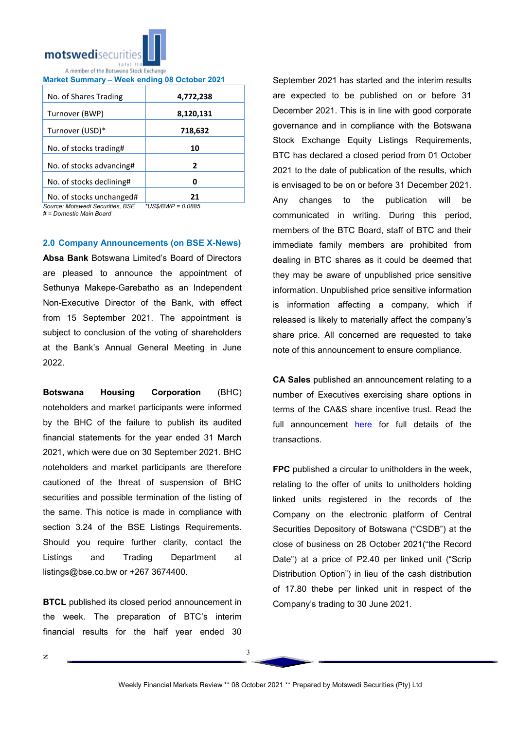

|  | Market Summary – Week ending 08 October 2021 |  |  |
|--|----------------------------------------------|--|--|
|  |                                              |  |  |

| No. of Shares Trading    | 4,772,238 |
|--------------------------|-----------|
| Turnover (BWP)           | 8,120,131 |
| Turnover (USD)*          | 718,632   |
| No. of stocks trading#   | 10        |
| No. of stocks advancing# | 2         |
| No. of stocks declining# |           |
| No of stocks unchanged#  | 71        |

No. of stocks unchanged# | 21<br>Source: Motswedi Securities. BSE \*US\$/BWP = 0.0885  $Source: Motswedi$  Securities, BSE *# = Domestic Main Board*

## 2.0 Company Announcements (on BSE X-News)

Absa Bank Botswana Limited's Board of Directors are pleased to announce the appointment of Sethunya Makepe-Garebatho as an Independent Non-Executive Director of the Bank, with effect from 15 September 2021. The appointment is subject to conclusion of the voting of shareholders at the Bank's Annual General Meeting in June 2022.

Botswana Housing Corporation (BHC) noteholders and market participants were informed by the BHC of the failure to publish its audited financial statements for the year ended 31 March 2021, which were due on 30 September 2021. BHC noteholders and market participants are therefore cautioned of the threat of suspension of BHC securities and possible termination of the listing of the same. This notice is made in compliance with section 3.24 of the BSE Listings Requirements. Should you require further clarity, contact the Listings and Trading Department at listings@bse.co.bw or +267 3674400.

**BTCL** published its closed period announcement in the week. The preparation of BTC's interim financial results for the half year ended 30

September 2021 has started and the interim results are expected to be published on or before 31 December 2021. This is in line with good corporate governance and in compliance with the Botswana Stock Exchange Equity Listings Requirements, BTC has declared a closed period from 01 October 2021 to the date of publication of the results, which is envisaged to be on or before 31 December 2021. Any changes to the publication will be communicated in writing. During this period, members of the BTC Board, staff of BTC and their immediate family members are prohibited from dealing in BTC shares as it could be deemed that they may be aware of unpublished price sensitive information. Unpublished price sensitive information is information affecting a company, which if released is likely to materially affect the company's share price. All concerned are requested to take note of this announcement to ensure compliance.

CA Sales published an announcement relating to a number of Executives exercising share options in terms of the CA&S share incentive trust. Read the full announcement here for full details of the transactions.

FPC published a circular to unitholders in the week, relating to the offer of units to unitholders holding linked units registered in the records of the Company on the electronic platform of Central Securities Depository of Botswana ("CSDB") at the close of business on 28 October 2021("the Record Date") at a price of P2.40 per linked unit ("Scrip Distribution Option") in lieu of the cash distribution of 17.80 thebe per linked unit in respect of the Company's trading to 30 June 2021.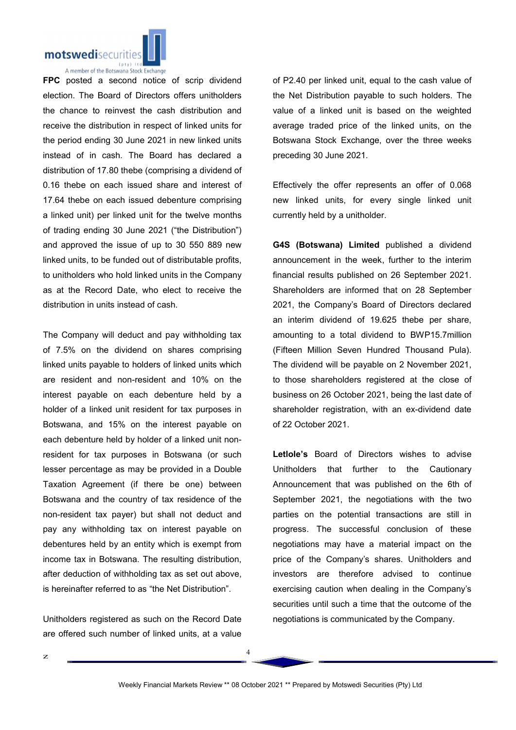

A member of the Botswana Stock Exchange

FPC posted a second notice of scrip dividend election. The Board of Directors offers unitholders the chance to reinvest the cash distribution and receive the distribution in respect of linked units for the period ending 30 June 2021 in new linked units instead of in cash. The Board has declared a distribution of 17.80 thebe (comprising a dividend of 0.16 thebe on each issued share and interest of 17.64 thebe on each issued debenture comprising a linked unit) per linked unit for the twelve months of trading ending 30 June 2021 ("the Distribution") and approved the issue of up to 30 550 889 new linked units, to be funded out of distributable profits, to unitholders who hold linked units in the Company as at the Record Date, who elect to receive the distribution in units instead of cash.

The Company will deduct and pay withholding tax of 7.5% on the dividend on shares comprising linked units payable to holders of linked units which are resident and non-resident and 10% on the interest payable on each debenture held by a holder of a linked unit resident for tax purposes in Botswana, and 15% on the interest payable on each debenture held by holder of a linked unit nonresident for tax purposes in Botswana (or such lesser percentage as may be provided in a Double Taxation Agreement (if there be one) between Botswana and the country of tax residence of the non-resident tax payer) but shall not deduct and pay any withholding tax on interest payable on debentures held by an entity which is exempt from income tax in Botswana. The resulting distribution, after deduction of withholding tax as set out above, is hereinafter referred to as "the Net Distribution".

Unitholders registered as such on the Record Date are offered such number of linked units, at a value

of P2.40 per linked unit, equal to the cash value of the Net Distribution payable to such holders. The value of a linked unit is based on the weighted average traded price of the linked units, on the Botswana Stock Exchange, over the three weeks preceding 30 June 2021.

Effectively the offer represents an offer of 0.068 new linked units, for every single linked unit currently held by a unitholder.

G4S (Botswana) Limited published a dividend announcement in the week, further to the interim financial results published on 26 September 2021. Shareholders are informed that on 28 September 2021, the Company's Board of Directors declared an interim dividend of 19.625 thebe per share, amounting to a total dividend to BWP15.7million (Fifteen Million Seven Hundred Thousand Pula). The dividend will be payable on 2 November 2021, to those shareholders registered at the close of business on 26 October 2021, being the last date of shareholder registration, with an ex-dividend date of 22 October 2021.

Letlole's Board of Directors wishes to advise Unitholders that further to the Cautionary Announcement that was published on the 6th of September 2021, the negotiations with the two parties on the potential transactions are still in progress. The successful conclusion of these negotiations may have a material impact on the price of the Company's shares. Unitholders and investors are therefore advised to continue exercising caution when dealing in the Company's securities until such a time that the outcome of the negotiations is communicated by the Company.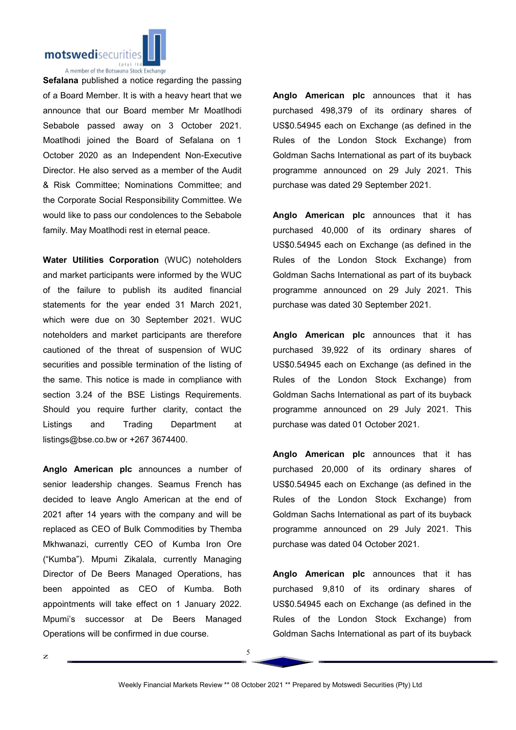

Sefalana published a notice regarding the passing of a Board Member. It is with a heavy heart that we announce that our Board member Mr Moatlhodi Sebabole passed away on 3 October 2021. Moatlhodi joined the Board of Sefalana on 1 October 2020 as an Independent Non-Executive Director. He also served as a member of the Audit & Risk Committee; Nominations Committee; and the Corporate Social Responsibility Committee. We would like to pass our condolences to the Sebabole family. May Moatlhodi rest in eternal peace.

Water Utilities Corporation (WUC) noteholders and market participants were informed by the WUC of the failure to publish its audited financial statements for the year ended 31 March 2021, which were due on 30 September 2021. WUC noteholders and market participants are therefore cautioned of the threat of suspension of WUC securities and possible termination of the listing of the same. This notice is made in compliance with section 3.24 of the BSE Listings Requirements. Should you require further clarity, contact the Listings and Trading Department at listings@bse.co.bw or +267 3674400.

Anglo American plc announces a number of senior leadership changes. Seamus French has decided to leave Anglo American at the end of 2021 after 14 years with the company and will be replaced as CEO of Bulk Commodities by Themba Mkhwanazi, currently CEO of Kumba Iron Ore ("Kumba"). Mpumi Zikalala, currently Managing Director of De Beers Managed Operations, has been appointed as CEO of Kumba. Both appointments will take effect on 1 January 2022. Mpumi's successor at De Beers Managed Operations will be confirmed in due course.

Anglo American plc announces that it has purchased 498,379 of its ordinary shares of US\$0.54945 each on Exchange (as defined in the Rules of the London Stock Exchange) from Goldman Sachs International as part of its buyback programme announced on 29 July 2021. This purchase was dated 29 September 2021.

Anglo American plc announces that it has purchased 40,000 of its ordinary shares of US\$0.54945 each on Exchange (as defined in the Rules of the London Stock Exchange) from Goldman Sachs International as part of its buyback programme announced on 29 July 2021. This purchase was dated 30 September 2021.

Anglo American plc announces that it has purchased 39,922 of its ordinary shares of US\$0.54945 each on Exchange (as defined in the Rules of the London Stock Exchange) from Goldman Sachs International as part of its buyback programme announced on 29 July 2021. This purchase was dated 01 October 2021.

Anglo American plc announces that it has purchased 20,000 of its ordinary shares of US\$0.54945 each on Exchange (as defined in the Rules of the London Stock Exchange) from Goldman Sachs International as part of its buyback programme announced on 29 July 2021. This purchase was dated 04 October 2021.

Anglo American plc announces that it has purchased 9,810 of its ordinary shares of US\$0.54945 each on Exchange (as defined in the Rules of the London Stock Exchange) from Goldman Sachs International as part of its buyback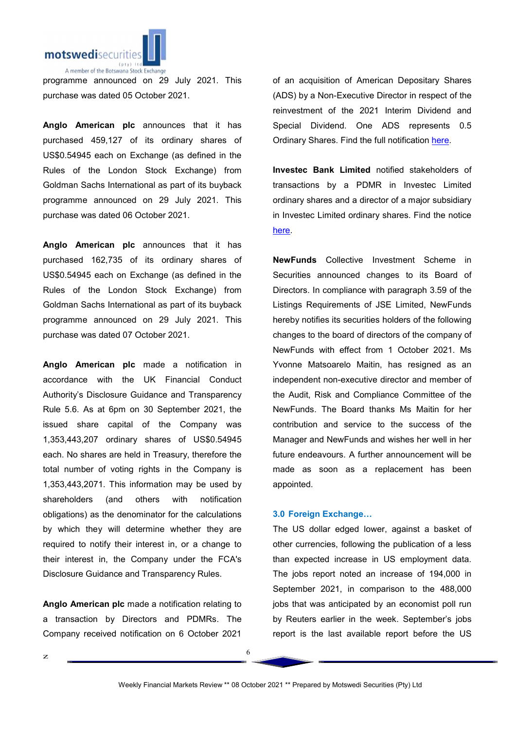

programme announced on 29 July 2021. This purchase was dated 05 October 2021.

Anglo American plc announces that it has purchased 459,127 of its ordinary shares of US\$0.54945 each on Exchange (as defined in the Rules of the London Stock Exchange) from Goldman Sachs International as part of its buyback programme announced on 29 July 2021. This purchase was dated 06 October 2021.

Anglo American plc announces that it has purchased 162,735 of its ordinary shares of US\$0.54945 each on Exchange (as defined in the Rules of the London Stock Exchange) from Goldman Sachs International as part of its buyback programme announced on 29 July 2021. This purchase was dated 07 October 2021.

Anglo American plc made a notification in accordance with the UK Financial Conduct Authority's Disclosure Guidance and Transparency Rule 5.6. As at 6pm on 30 September 2021, the issued share capital of the Company was 1,353,443,207 ordinary shares of US\$0.54945 each. No shares are held in Treasury, therefore the total number of voting rights in the Company is 1,353,443,2071. This information may be used by shareholders (and others with notification obligations) as the denominator for the calculations by which they will determine whether they are required to notify their interest in, or a change to their interest in, the Company under the FCA's Disclosure Guidance and Transparency Rules.

Anglo American plc made a notification relating to a transaction by Directors and PDMRs. The Company received notification on 6 October 2021

of an acquisition of American Depositary Shares (ADS) by a Non-Executive Director in respect of the reinvestment of the 2021 Interim Dividend and Special Dividend. One ADS represents 0.5 Ordinary Shares. Find the full notification here.

Investec Bank Limited notified stakeholders of transactions by a PDMR in Investec Limited ordinary shares and a director of a major subsidiary in Investec Limited ordinary shares. Find the notice here.

NewFunds Collective Investment Scheme in Securities announced changes to its Board of Directors. In compliance with paragraph 3.59 of the Listings Requirements of JSE Limited, NewFunds hereby notifies its securities holders of the following changes to the board of directors of the company of NewFunds with effect from 1 October 2021. Ms Yvonne Matsoarelo Maitin, has resigned as an independent non-executive director and member of the Audit, Risk and Compliance Committee of the NewFunds. The Board thanks Ms Maitin for her contribution and service to the success of the Manager and NewFunds and wishes her well in her future endeavours. A further announcement will be made as soon as a replacement has been appointed.

## 3.0 Foreign Exchange…

The US dollar edged lower, against a basket of other currencies, following the publication of a less than expected increase in US employment data. The jobs report noted an increase of 194,000 in September 2021, in comparison to the 488,000 jobs that was anticipated by an economist poll run by Reuters earlier in the week. September's jobs report is the last available report before the US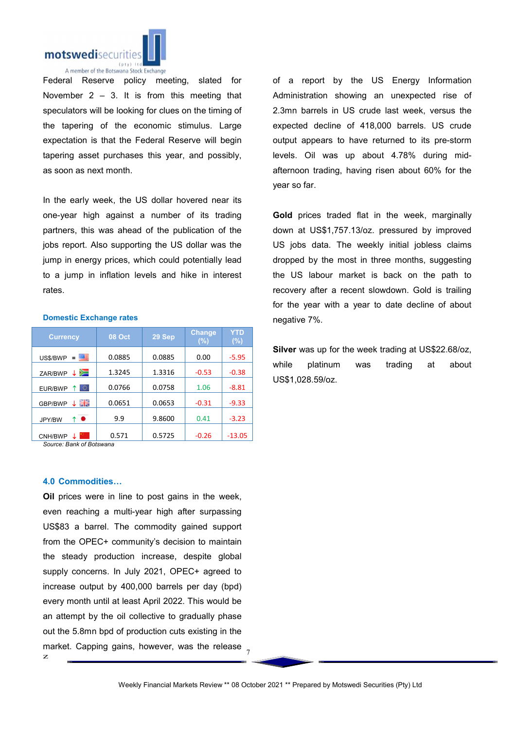

A member of the Botswana Stock Exchange

Federal Reserve policy meeting, slated for November  $2 - 3$ . It is from this meeting that speculators will be looking for clues on the timing of the tapering of the economic stimulus. Large expectation is that the Federal Reserve will begin tapering asset purchases this year, and possibly, as soon as next month.

In the early week, the US dollar hovered near its one-year high against a number of its trading partners, this was ahead of the publication of the jobs report. Also supporting the US dollar was the jump in energy prices, which could potentially lead to a jump in inflation levels and hike in interest rates.

#### Domestic Exchange rates

| <b>Currency</b>          | <b>08 Oct</b> | 29 Sep | <b>Change</b><br>(%) | <b>YTD</b><br>$(\%)$ |
|--------------------------|---------------|--------|----------------------|----------------------|
| 匷<br>US\$/BWP<br>=       | 0.0885        | 0.0885 | 0.00                 | $-5.95$              |
| ≔<br>ZAR/BWP             | 1.3245        | 1.3316 | $-0.53$              | $-0.38$              |
| $\circ$<br>EUR/BWP       | 0.0766        | 0.0758 | 1.06                 | $-8.81$              |
| 즭뚡<br>GBP/BWP            | 0.0651        | 0.0653 | $-0.31$              | $-9.33$              |
| $\bullet$<br>↑<br>JPY/BW | 9.9           | 9.8600 | 0.41                 | $-3.23$              |
| CNH/BWP                  | 0.571         | 0.5725 | $-0.26$              | $-13.05$             |

*Source: Bank of Botswana*

#### 4.0 Commodities…

z market. Capping gains, however, was the release  $\frac{1}{7}$ Oil prices were in line to post gains in the week, even reaching a multi-year high after surpassing US\$83 a barrel. The commodity gained support from the OPEC+ community's decision to maintain the steady production increase, despite global supply concerns. In July 2021, OPEC+ agreed to increase output by 400,000 barrels per day (bpd) every month until at least April 2022. This would be an attempt by the oil collective to gradually phase out the 5.8mn bpd of production cuts existing in the

of a report by the US Energy Information Administration showing an unexpected rise of 2.3mn barrels in US crude last week, versus the expected decline of 418,000 barrels. US crude output appears to have returned to its pre-storm levels. Oil was up about 4.78% during midafternoon trading, having risen about 60% for the year so far.

Gold prices traded flat in the week, marginally down at US\$1,757.13/oz. pressured by improved US jobs data. The weekly initial jobless claims dropped by the most in three months, suggesting the US labour market is back on the path to recovery after a recent slowdown. Gold is trailing for the year with a year to date decline of about negative 7%.

Silver was up for the week trading at US\$22.68/oz, while platinum was trading at about US\$1,028.59/oz.